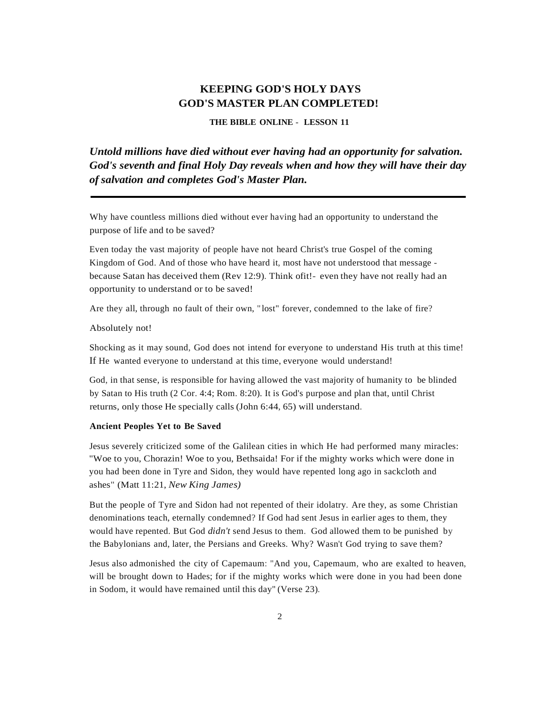# **KEEPING GOD'S HOLY DAYS GOD'S MASTER PLAN COMPLETED!**

**THE BIBLE ONLINE** - **LESSON 11**

*Untold millions have died without ever having had an opportunity for salvation. God's seventh and final Holy Day reveals when and how they will have their day of salvation and completes God's Master Plan.*

Why have countless millions died without ever having had an opportunity to understand the purpose of life and to be saved?

Even today the vast majority of people have not heard Christ's true Gospel of the coming Kingdom of God. And of those who have heard it, most have not understood that message because Satan has deceived them (Rev 12:9). Think ofit!- even they have not really had an opportunity to understand or to be saved!

Are they all, through no fault of their own, " lost" forever, condemned to the lake of fire?

#### Absolutely not!

Shocking as it may sound, God does not intend for everyone to understand His truth at this time! If He wanted everyone to understand at this time, everyone would understand!

God, in that sense, is responsible for having allowed the vast majority of humanity to be blinded by Satan to His truth (2 Cor. 4:4; Rom. 8:20). It is God's purpose and plan that, until Christ returns, only those He specially calls (John 6:44, 65) will understand.

#### **Ancient Peoples Yet to Be Saved**

Jesus severely criticized some of the Galilean cities in which He had performed many miracles: "Woe to you, Chorazin! Woe to you, Bethsaida! For if the mighty works which were done in you had been done in Tyre and Sidon, they would have repented long ago in sackcloth and ashes" (Matt 11:21, *New King James)*

But the people of Tyre and Sidon had not repented of their idolatry. Are they, as some Christian denominations teach, eternally condemned? If God had sent Jesus in earlier ages to them, they would have repented. But God *didn't* send Jesus to them. God allowed them to be punished by the Babylonians and, later, the Persians and Greeks. Why? Wasn't God trying to save them?

Jesus also admonished the city of Capemaum: "And you, Capemaum, who are exalted to heaven, will be brought down to Hades; for if the mighty works which were done in you had been done in Sodom, it would have remained until this day" (Verse 23).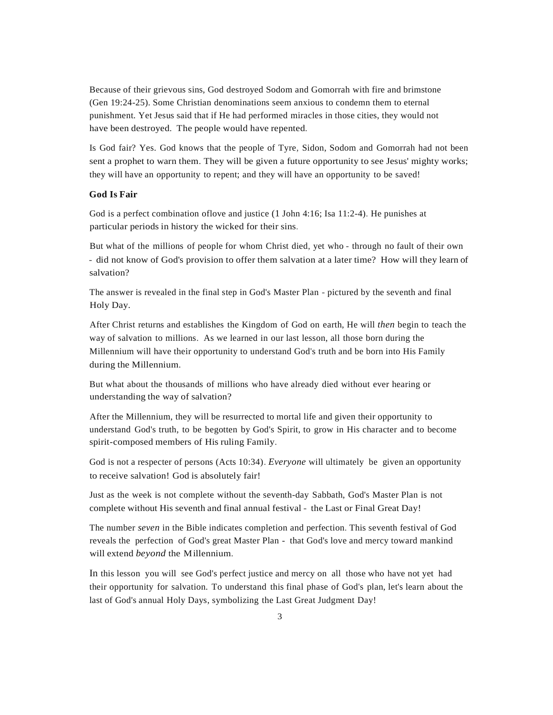Because of their grievous sins, God destroyed Sodom and Gomorrah with fire and brimstone (Gen 19:24-25). Some Christian denominations seem anxious to condemn them to eternal punishment. Yet Jesus said that if He had performed miracles in those cities, they would not have been destroyed. The people would have repented.

Is God fair? Yes. God knows that the people of Tyre, Sidon, Sodom and Gomorrah had not been sent a prophet to warn them. They will be given a future opportunity to see Jesus' mighty works; they will have an opportunity to repent; and they will have an opportunity to be saved!

### **God Is Fair**

God is a perfect combination oflove and justice (1 John 4:16; Isa 11:2-4). He punishes at particular periods in history the wicked for their sins.

But what of the millions of people for whom Christ died, yet who - through no fault of their own - did not know of God's provision to offer them salvation at a later time? How will they learn of salvation?

The answer is revealed in the final step in God's Master Plan - pictured by the seventh and final Holy Day.

After Christ returns and establishes the Kingdom of God on earth, He will *then* begin to teach the way of salvation to millions. As we learned in our last lesson, all those born during the Millennium will have their opportunity to understand God's truth and be born into His Family during the Millennium.

But what about the thousands of millions who have already died without ever hearing or understanding the way of salvation?

After the Millennium, they will be resurrected to mortal life and given their opportunity to understand God's truth, to be begotten by God's Spirit, to grow in His character and to become spirit-composed members of His ruling Family.

God is not a respecter of persons (Acts 10:34). *Everyone* will ultimately be given an opportunity to receive salvation! God is absolutely fair!

Just as the week is not complete without the seventh-day Sabbath, God's Master Plan is not complete without His seventh and final annual festival - the Last or Final Great Day!

The number *seven* in the Bible indicates completion and perfection. This seventh festival of God reveals the perfection of God's great Master Plan - that God's love and mercy toward mankind will extend *beyond* the Millennium.

In this lesson you will see God's perfect justice and mercy on all those who have not yet had their opportunity for salvation. To understand this final phase of God's plan, let's learn about the last of God's annual Holy Days, symbolizing the Last Great Judgment Day!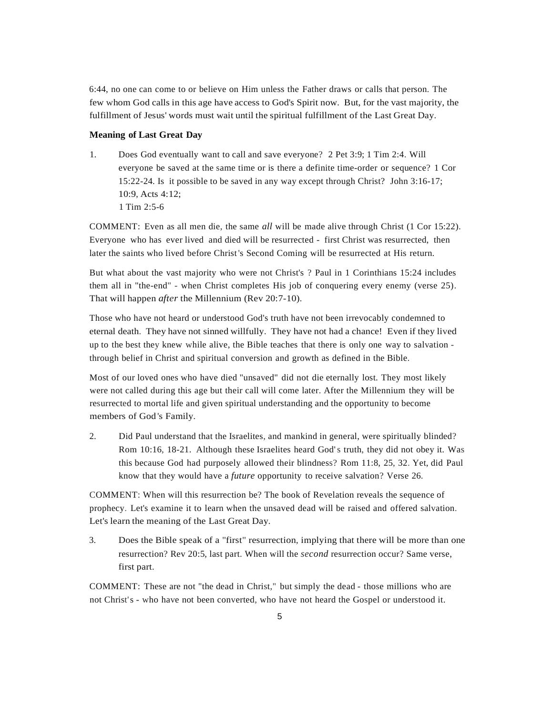6:44, no one can come to or believe on Him unless the Father draws or calls that person. The few whom God calls in this age have access to God's Spirit now. But, for the vast majority, the fulfillment of Jesus' words must wait until the spiritual fulfillment of the Last Great Day.

#### **Meaning of Last Great Day**

1. Does God eventually want to call and save everyone? 2 Pet 3:9; 1 Tim 2:4. Will everyone be saved at the same time or is there a definite time-order or sequence? 1 Cor 15:22-24. Is it possible to be saved in any way except through Christ? John 3:16-17; 10:9, Acts 4:12; 1 Tim 2:5-6

COMMENT: Even as all men die, the same *all* will be made alive through Christ (1 Cor 15:22). Everyone who has ever lived and died will be resurrected - first Christ was resurrected, then later the saints who lived before Christ's Second Coming will be resurrected at His return.

But what about the vast majority who were not Christ's ? Paul in 1 Corinthians 15:24 includes them all in "the-end" - when Christ completes His job of conquering every enemy (verse 25). That will happen *after* the Millennium (Rev 20:7-10).

Those who have not heard or understood God's truth have not been irrevocably condemned to eternal death. They have not sinned willfully. They have not had a chance! Even if they lived up to the best they knew while alive, the Bible teaches that there is only one way to salvation through belief in Christ and spiritual conversion and growth as defined in the Bible.

Most of our loved ones who have died "unsaved" did not die eternally lost. They most likely were not called during this age but their call will come later. After the Millennium they will be resurrected to mortal life and given spiritual understanding and the opportunity to become members of God 's Family.

2. Did Paul understand that the Israelites, and mankind in general, were spiritually blinded? Rom 10:16, 18-21. Although these Israelites heard God's truth, they did not obey it. Was this because God had purposely allowed their blindness? Rom 11:8, 25, 32. Yet, did Paul know that they would have a *future* opportunity to receive salvation? Verse 26.

COMMENT: When will this resurrection be? The book of Revelation reveals the sequence of prophecy. Let's examine it to learn when the unsaved dead will be raised and offered salvation. Let's learn the meaning of the Last Great Day.

3. Does the Bible speak of a "first" resurrection, implying that there will be more than one resurrection? Rev 20:5, last part. When will the *second* resurrection occur? Same verse, first part.

COMMENT: These are not "the dead in Christ," but simply the dead - those millions who are not Christ's - who have not been converted, who have not heard the Gospel or understood it.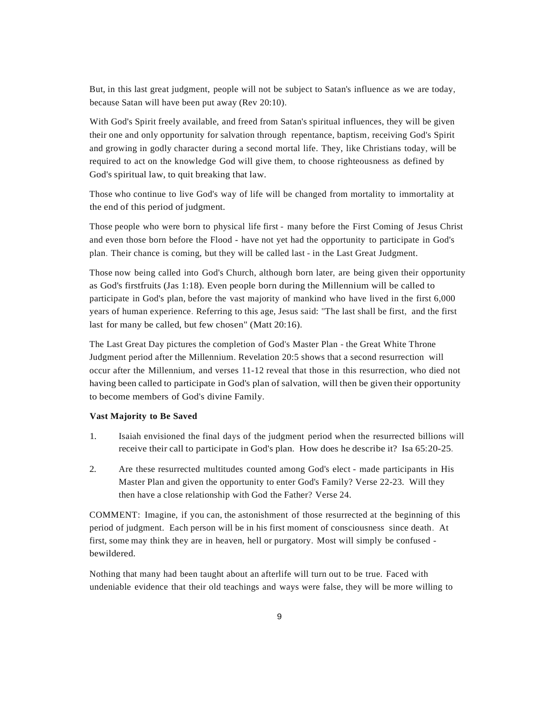But, in this last great judgment, people will not be subject to Satan's influence as we are today, because Satan will have been put away (Rev 20:10).

With God's Spirit freely available, and freed from Satan's spiritual influences, they will be given their one and only opportunity for salvation through repentance, baptism, receiving God's Spirit and growing in godly character during a second mortal life. They, like Christians today, will be required to act on the knowledge God will give them, to choose righteousness as defined by God's spiritual law, to quit breaking that law.

Those who continue to live God's way of life will be changed from mortality to immortality at the end of this period of judgment.

Those people who were born to physical life first - many before the First Coming of Jesus Christ and even those born before the Flood - have not yet had the opportunity to participate in God's plan. Their chance is coming, but they will be called last - in the Last Great Judgment.

Those now being called into God's Church, although born later, are being given their opportunity as God's firstfruits (Jas 1:18). Even people born during the Millennium will be called to participate in God's plan, before the vast majority of mankind who have lived in the first 6,000 years of human experience. Referring to this age, Jesus said: "The last shall be first, and the first last for many be called, but few chosen" (Matt 20:16).

The Last Great Day pictures the completion of God's Master Plan - the Great White Throne Judgment period after the Millennium. Revelation 20:5 shows that a second resurrection will occur after the Millennium, and verses 11-12 reveal that those in this resurrection, who died not having been called to participate in God's plan of salvation, willthen be given their opportunity to become members of God's divine Family.

## **Vast Majority to Be Saved**

- 1. Isaiah envisioned the final days of the judgment period when the resurrected billions will receive their call to participate in God's plan. How does he describe it? Isa 65:20-25.
- 2. Are these resurrected multitudes counted among God's elect made participants in His Master Plan and given the opportunity to enter God's Family? Verse 22-23. Will they then have a close relationship with God the Father? Verse 24.

COMMENT: Imagine, if you can, the astonishment of those resurrected at the beginning of this period of judgment. Each person will be in his first moment of consciousness since death. At first, some may think they are in heaven, hell or purgatory. Most will simply be confused bewildered.

Nothing that many had been taught about an afterlife will turn out to be true. Faced with undeniable evidence that their old teachings and ways were false, they will be more willing to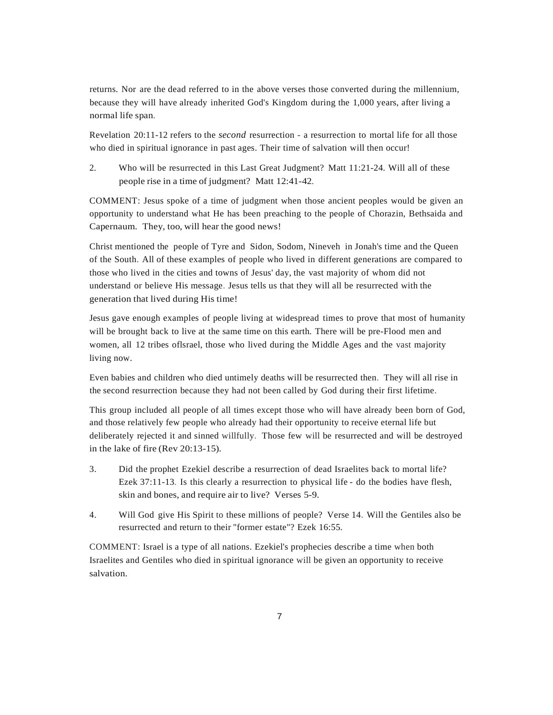returns. Nor are the dead referred to in the above verses those converted during the millennium, because they will have already inherited God's Kingdom during the 1,000 years, after living a normal life span.

Revelation 20:11-12 refers to the *second* resurrection - a resurrection to mortal life for all those who died in spiritual ignorance in past ages. Their time of salvation will then occur!

2. Who will be resurrected in this Last Great Judgment? Matt 11:21-24. Will all of these people rise in a time of judgment? Matt 12:41-42.

COMMENT: Jesus spoke of a time of judgment when those ancient peoples would be given an opportunity to understand what He has been preaching to the people of Chorazin, Bethsaida and Capernaum. They, too, will hear the good news!

Christ mentioned the people of Tyre and Sidon, Sodom, Nineveh in Jonah's time and the Queen of the South. All of these examples of people who lived in different generations are compared to those who lived in the cities and towns of Jesus' day, the vast majority of whom did not understand or believe His message. Jesus tells us that they will all be resurrected with the generation that lived during His time!

Jesus gave enough examples of people living at widespread times to prove that most of humanity will be brought back to live at the same time on this earth. There will be pre-Flood men and women, all 12 tribes oflsrael, those who lived during the Middle Ages and the vast majority living now.

Even babies and children who died untimely deaths will be resurrected then. They will all rise in the second resurrection because they had not been called by God during their first lifetime.

This group included all people of all times except those who will have already been born of God, and those relatively few people who already had their opportunity to receive eternal life but deliberately rejected it and sinned willfully. Those few will be resurrected and will be destroyed in the lake of fire (Rev 20:13-15).

- 3. Did the prophet Ezekiel describe a resurrection of dead Israelites back to mortal life? Ezek 37:11-13. Is this clearly a resurrection to physical life - do the bodies have flesh, skin and bones, and require air to live? Verses 5-9.
- 4. Will God give His Spirit to these millions of people? Verse 14. Will the Gentiles also be resurrected and return to their "former estate"? Ezek 16:55.

COMMENT: Israel is a type of all nations. Ezekiel's prophecies describe a time when both Israelites and Gentiles who died in spiritual ignorance will be given an opportunity to receive salvation.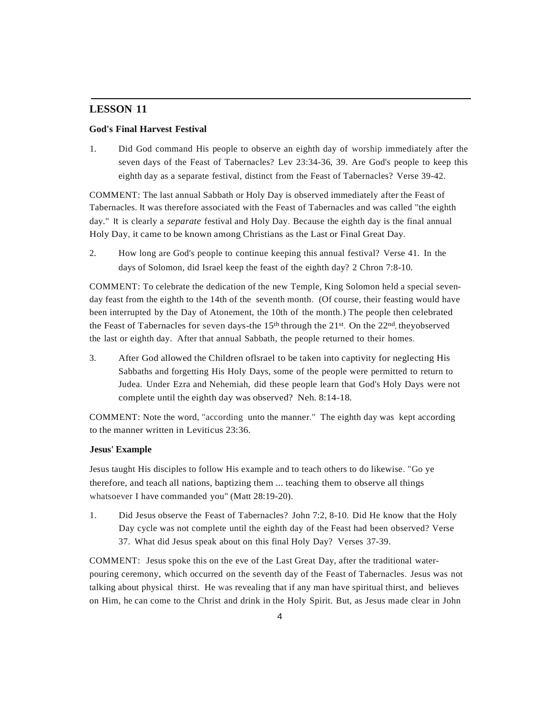## **LESSON 11**

## **God's Final Harvest Festival**

1. Did God command His people to observe an eighth day of worship immediately after the seven days of the Feast of Tabernacles? Lev 23:34-36, 39. Are God's people to keep this eighth day as a separate festival, distinct from the Feast of Tabernacles? Verse 39-42.

COMMENT: The last annual Sabbath or Holy Day is observed immediately after the Feast of Tabernacles. It was therefore associated with the Feast of Tabernacles and was called "the eighth day." It is clearly a *separate* festival and Holy Day. Because the eighth day is the final annual Holy Day, it came to be known among Christians as the Last or Final Great Day.

2. How long are God's people to continue keeping this annual festival? Verse 41. In the days of Solomon, did Israel keep the feast of the eighth day? 2 Chron 7:8-10.

COMMENT: To celebrate the dedication of the new Temple, King Solomon held a special sevenday feast from the eighth to the 14th of the seventh month. (Of course, their feasting would have been interrupted by the Day of Atonement, the 10th of the month.) The people then celebrated the Feast of Tabernacles for seven days-the  $15<sup>th</sup>$  through the  $21<sup>st</sup>$ . On the  $22<sup>nd</sup>$ , theyobserved the last or eighth day. After that annual Sabbath, the people returned to their homes.

3. After God allowed the Children oflsrael to be taken into captivity for neglecting His Sabbaths and forgetting His Holy Days, some of the people were permitted to return to Judea. Under Ezra and Nehemiah, did these people learn that God's Holy Days were not complete until the eighth day was observed? Neh. 8:14-18.

COMMENT: Note the word, "according unto the manner." The eighth day was kept according to the manner written in Leviticus 23:36.

#### **Jesus' Example**

Jesus taught His disciples to follow His example and to teach others to do likewise. "Go ye therefore, and teach all nations, baptizing them ... teaching them to observe all things whatsoever I have commanded you" (Matt 28:19-20).

1. Did Jesus observe the Feast of Tabernacles? John 7:2, 8-10. Did He know that the Holy Day cycle was not complete until the eighth day of the Feast had been observed? Verse 37. What did Jesus speak about on this final Holy Day? Verses 37-39.

COMMENT: Jesus spoke this on the eve of the Last Great Day, after the traditional waterpouring ceremony, which occurred on the seventh day of the Feast of Tabernacles. Jesus was not talking about physical thirst. He was revealing that if any man have spiritual thirst, and believes on Him, he can come to the Christ and drink in the Holy Spirit. But, as Jesus made clear in John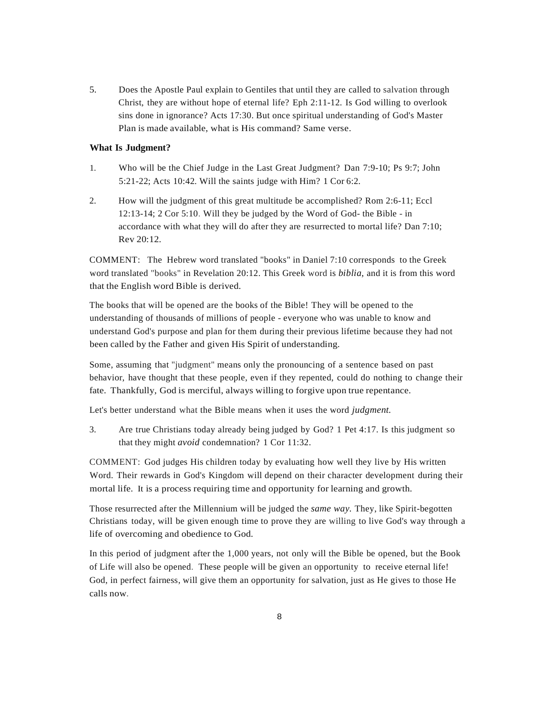5. Does the Apostle Paul explain to Gentiles that until they are called to salvation through Christ, they are without hope of eternal life? Eph 2:11-12. Is God willing to overlook sins done in ignorance? Acts 17:30. But once spiritual understanding of God's Master Plan is made available, what is His command? Same verse.

## **What Is Judgment?**

- 1. Who will be the Chief Judge in the Last Great Judgment? Dan 7:9-10; Ps 9:7; John 5:21-22; Acts 10:42. Will the saints judge with Him? 1 Cor 6:2.
- 2. How will the judgment of this great multitude be accomplished? Rom 2:6-11; Eccl 12:13-14; 2 Cor 5:10. Will they be judged by the Word of God- the Bible - in accordance with what they will do after they are resurrected to mortal life? Dan 7:10; Rev 20:12.

COMMENT: The Hebrew word translated "books" in Daniel 7:10 corresponds to the Greek word translated "books" in Revelation 20:12. This Greek word is *biblia,* and it is from this word that the English word Bible is derived.

The books that will be opened are the books of the Bible! They will be opened to the understanding of thousands of millions of people - everyone who was unable to know and understand God's purpose and plan for them during their previous lifetime because they had not been called by the Father and given His Spirit of understanding.

Some, assuming that "judgment" means only the pronouncing of a sentence based on past behavior, have thought that these people, even if they repented, could do nothing to change their fate. Thankfully, God is merciful, always willing to forgive upon true repentance.

Let's better understand what the Bible means when it uses the word *judgment.*

3. Are true Christians today already being judged by God? 1 Pet 4:17. Is this judgment so that they might *avoid* condemnation? 1 Cor 11:32.

COMMENT: God judges His children today by evaluating how well they live by His written Word. Their rewards in God's Kingdom will depend on their character development during their mortal life. It is a process requiring time and opportunity for learning and growth.

Those resurrected after the Millennium will be judged the *same way.* They, like Spirit-begotten Christians today, will be given enough time to prove they are willing to live God's way through a life of overcoming and obedience to God.

In this period of judgment after the 1,000 years, not only will the Bible be opened, but the Book of Life will also be opened. These people will be given an opportunity to receive eternal life! God, in perfect fairness, will give them an opportunity for salvation, just as He gives to those He calls now.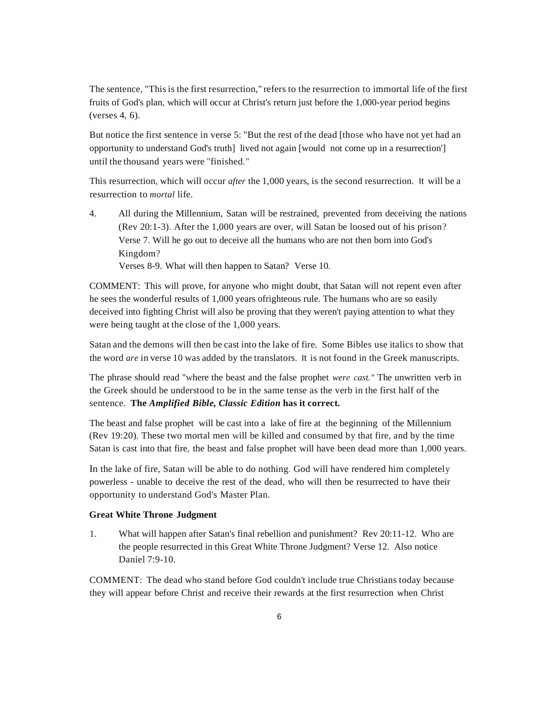The sentence, "Thisis the first resurrection," refers to the resurrection to immortal life of the first fruits of God's plan, which will occur at Christ's return just before the 1,000-year period begins (verses 4, 6).

But notice the first sentence in verse 5: "But the rest of the dead [those who have not yet had an opportunity to understand God's truth] lived not again [would not come up in a resurrection'] until the thousand years were "finished."

This resurrection, which will occur *after* the 1,000 years, is the second resurrection. It will be a resurrection to *mortal* life.

4. All during the Millennium, Satan will be restrained, prevented from deceiving the nations (Rev 20:1-3). After the 1,000 years are over, will Satan be loosed out of his prison? Verse 7. Will he go out to deceive all the humans who are not then born into God's Kingdom? Verses 8-9. What will then happen to Satan? Verse 10.

COMMENT: This will prove, for anyone who might doubt, that Satan will not repent even after he sees the wonderful results of 1,000 years ofrighteous rule. The humans who are so easily deceived into fighting Christ will also be proving that they weren't paying attention to what they were being taught at the close of the 1,000 years.

Satan and the demons will then be cast into the lake of fire. Some Bibles use italics to show that the word *are* in verse 10 was added by the translators. It is not found in the Greek manuscripts.

The phrase should read "where the beast and the false prophet *were cast."* The unwritten verb in the Greek should be understood to be in the same tense as the verb in the first half of the sentence. **The** *Amplified Bible, Classic Edition* **has it correct.**

The beast and false prophet will be cast into a lake of fire at the beginning of the Millennium (Rev 19:20). These two mortal men will be killed and consumed by that fire, and by the time Satan is cast into that fire, the beast and false prophet will have been dead more than 1,000 years.

In the lake of fire, Satan will be able to do nothing. God will have rendered him completely powerless - unable to deceive the rest of the dead, who will then be resurrected to have their opportunity to understand God's Master Plan.

#### **Great White Throne Judgment**

1. What will happen after Satan's final rebellion and punishment? Rev 20:11-12. Who are the people resurrected in this Great White Throne Judgment? Verse 12. Also notice Daniel 7:9-10.

COMMENT: The dead who stand before God couldn't include true Christians today because they will appear before Christ and receive their rewards at the first resurrection when Christ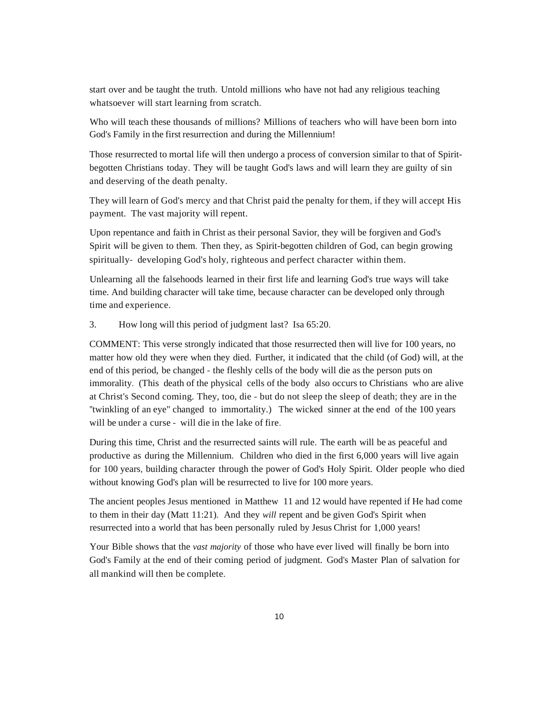start over and be taught the truth. Untold millions who have not had any religious teaching whatsoever will start learning from scratch.

Who will teach these thousands of millions? Millions of teachers who will have been born into God's Family in the first resurrection and during the Millennium!

Those resurrected to mortal life will then undergo a process of conversion similar to that of Spiritbegotten Christians today. They will be taught God's laws and will learn they are guilty of sin and deserving of the death penalty.

They will learn of God's mercy and that Christ paid the penalty for them, if they will accept His payment. The vast majority will repent.

Upon repentance and faith in Christ as their personal Savior, they will be forgiven and God's Spirit will be given to them. Then they, as Spirit-begotten children of God, can begin growing spiritually- developing God's holy, righteous and perfect character within them.

Unlearning all the falsehoods learned in their first life and learning God's true ways will take time. And building character will take time, because character can be developed only through time and experience.

3. How long will this period of judgment last? Isa 65:20.

COMMENT: This verse strongly indicated that those resurrected then will live for 100 years, no matter how old they were when they died. Further, it indicated that the child (of God) will, at the end of this period, be changed - the fleshly cells of the body will die as the person puts on immorality. (This death of the physical cells of the body also occurs to Christians who are alive at Christ's Second coming. They, too, die - but do not sleep the sleep of death; they are in the ''twinkling of an eye" changed to immortality.) The wicked sinner at the end of the 100 years will be under a curse - will die in the lake of fire.

During this time, Christ and the resurrected saints will rule. The earth will be as peaceful and productive as during the Millennium. Children who died in the first 6,000 years will live again for 100 years, building character through the power of God's Holy Spirit. Older people who died without knowing God's plan will be resurrected to live for 100 more years.

The ancient peoples Jesus mentioned in Matthew 11 and 12 would have repented if He had come to them in their day (Matt 11:21). And they *will* repent and be given God's Spirit when resurrected into a world that has been personally ruled by Jesus Christ for 1,000 years!

Your Bible shows that the *vast majority* of those who have ever lived will finally be born into God's Family at the end of their coming period of judgment. God's Master Plan of salvation for all mankind will then be complete.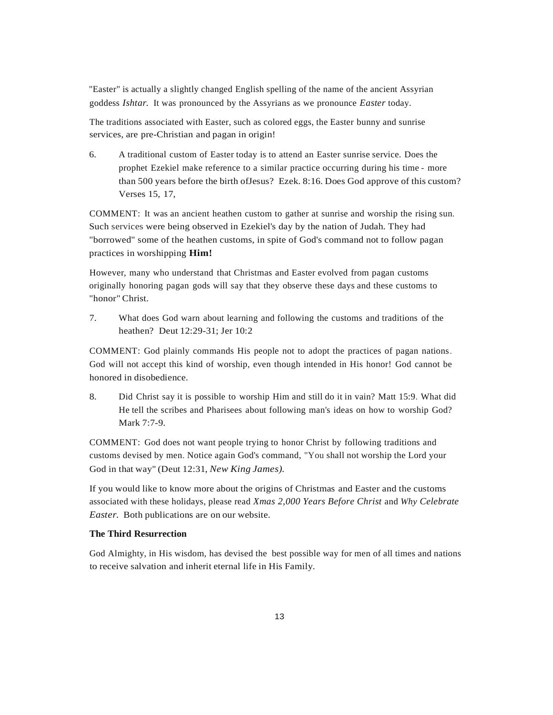"Easter" is actually a slightly changed English spelling of the name of the ancient Assyrian goddess *Ishtar.* It was pronounced by the Assyrians as we pronounce *Easter* today.

The traditions associated with Easter, such as colored eggs, the Easter bunny and sunrise services, are pre-Christian and pagan in origin!

6. A traditional custom of Easter today is to attend an Easter sunrise service. Does the prophet Ezekiel make reference to a similar practice occurring during his time - more than 500 years before the birth ofJesus? Ezek. 8:16. Does God approve of this custom? Verses 15, 17,

COMMENT: It was an ancient heathen custom to gather at sunrise and worship the rising sun. Such services were being observed in Ezekiel's day by the nation of Judah. They had "borrowed" some of the heathen customs, in spite of God's command not to follow pagan practices in worshipping **Him!**

However, many who understand that Christmas and Easter evolved from pagan customs originally honoring pagan gods will say that they observe these days and these customs to "honor" Christ.

7. What does God warn about learning and following the customs and traditions of the heathen? Deut 12:29-31; Jer 10:2

COMMENT: God plainly commands His people not to adopt the practices of pagan nations. God will not accept this kind of worship, even though intended in His honor! God cannot be honored in disobedience.

8. Did Christ say it is possible to worship Him and still do it in vain? Matt 15:9. What did He tell the scribes and Pharisees about following man's ideas on how to worship God? Mark 7:7-9.

COMMENT: God does not want people trying to honor Christ by following traditions and customs devised by men. Notice again God's command, "You shall not worship the Lord your God in that way" (Deut 12:31, *New King James)*.

If you would like to know more about the origins of Christmas and Easter and the customs associated with these holidays, please read *Xmas 2,000 Years Before Christ* and *Why Celebrate Easter.* Both publications are on our website.

#### **The Third Resurrection**

God Almighty, in His wisdom, has devised the best possible way for men of all times and nations to receive salvation and inherit eternal life in His Family.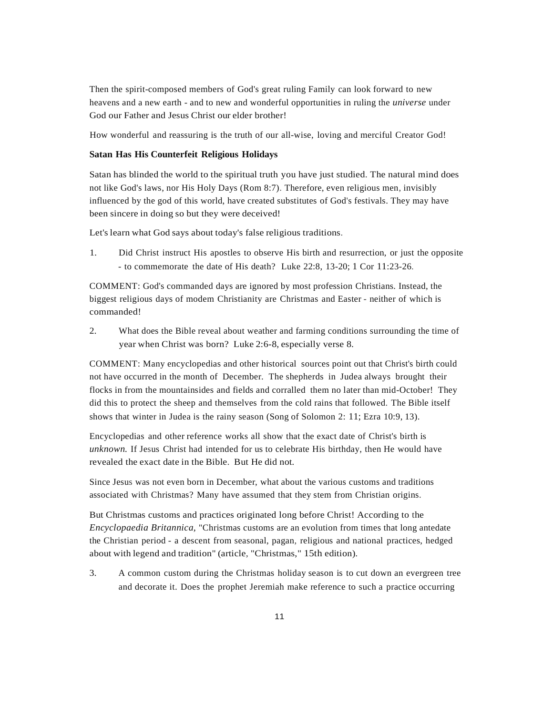Then the spirit-composed members of God's great ruling Family can look forward to new heavens and a new earth - and to new and wonderful opportunities in ruling the *universe* under God our Father and Jesus Christ our elder brother!

How wonderful and reassuring is the truth of our all-wise, loving and merciful Creator God!

## **Satan Has His Counterfeit Religious Holidays**

Satan has blinded the world to the spiritual truth you have just studied. The natural mind does not like God's laws, nor His Holy Days (Rom 8:7). Therefore, even religious men, invisibly influenced by the god of this world, have created substitutes of God's festivals. They may have been sincere in doing so but they were deceived!

Let's learn what God says about today's false religious traditions.

1. Did Christ instruct His apostles to observe His birth and resurrection, or just the opposite - to commemorate the date of His death? Luke 22:8, 13-20; 1 Cor 11:23-26.

COMMENT: God's commanded days are ignored by most profession Christians. Instead, the biggest religious days of modem Christianity are Christmas and Easter - neither of which is commanded!

2. What does the Bible reveal about weather and farming conditions surrounding the time of year when Christ was born? Luke 2:6-8, especially verse 8.

COMMENT: Many encyclopedias and other historical sources point out that Christ's birth could not have occurred in the month of December. The shepherds in Judea always brought their flocks in from the mountainsides and fields and corralled them no later than mid-October! They did this to protect the sheep and themselves from the cold rains that followed. The Bible itself shows that winter in Judea is the rainy season (Song of Solomon 2: 11; Ezra 10:9, 13).

Encyclopedias and other reference works all show that the exact date of Christ's birth is *unknown.* If Jesus Christ had intended for us to celebrate His birthday, then He would have revealed the exact date in the Bible. But He did not.

Since Jesus was not even born in December, what about the various customs and traditions associated with Christmas? Many have assumed that they stem from Christian origins.

But Christmas customs and practices originated long before Christ! According to the *Encyclopaedia Britannica,* "Christmas customs are an evolution from times that long antedate the Christian period - a descent from seasonal, pagan, religious and national practices, hedged about with legend and tradition" (article, "Christmas," 15th edition).

3. A common custom during the Christmas holiday season is to cut down an evergreen tree and decorate it. Does the prophet Jeremiah make reference to such a practice occurring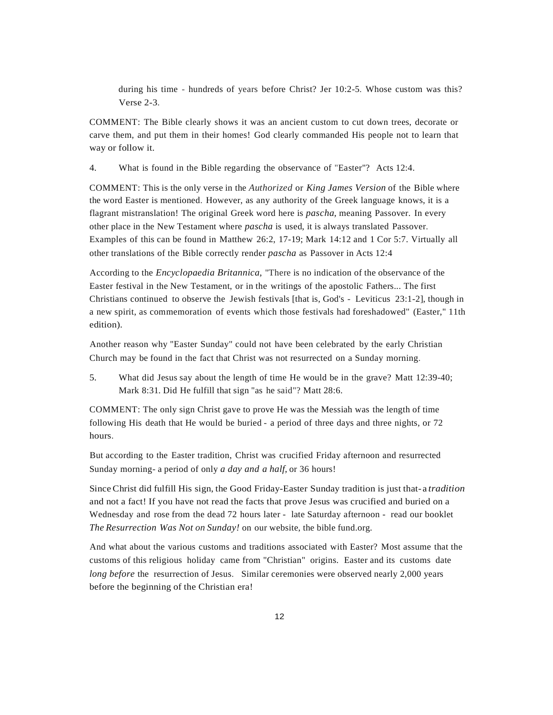during his time - hundreds of years before Christ? Jer 10:2-5. Whose custom was this? Verse 2-3.

COMMENT: The Bible clearly shows it was an ancient custom to cut down trees, decorate or carve them, and put them in their homes! God clearly commanded His people not to learn that way or follow it.

4. What is found in the Bible regarding the observance of "Easter"? Acts 12:4.

COMMENT: This is the only verse in the *Authorized* or *King James Version* of the Bible where the word Easter is mentioned. However, as any authority of the Greek language knows, it is a flagrant mistranslation! The original Greek word here is *pascha,* meaning Passover. In every other place in the New Testament where *pascha* is used, it is always translated Passover. Examples of this can be found in Matthew 26:2, 17-19; Mark 14:12 and 1 Cor 5:7. Virtually all other translations of the Bible correctly render *pascha* as Passover in Acts 12:4

According to the *Encyclopaedia Britannica,* "There is no indication of the observance of the Easter festival in the New Testament, or in the writings of the apostolic Fathers... The first Christians continued to observe the Jewish festivals [that is, God's - Leviticus 23:1-2], though in a new spirit, as commemoration of events which those festivals had foreshadowed" (Easter," 11th edition).

Another reason why "Easter Sunday" could not have been celebrated by the early Christian Church may be found in the fact that Christ was not resurrected on a Sunday morning.

5. What did Jesus say about the length of time He would be in the grave? Matt 12:39-40; Mark 8:31. Did He fulfill that sign "as he said"? Matt 28:6.

COMMENT: The only sign Christ gave to prove He was the Messiah was the length of time following His death that He would be buried - a period of three days and three nights, or 72 hours.

But according to the Easter tradition, Christ was crucified Friday afternoon and resurrected Sunday morning- a period of only *a day and a half,* or 36 hours!

Since Christ did fulfill His sign, the Good Friday-Easter Sunday tradition is just that- a *tradition* and not a fact! If you have not read the facts that prove Jesus was crucified and buried on a Wednesday and rose from the dead 72 hours later - late Saturday afternoon - read our booklet *The Resurrection Was Not on Sunday!* on our website, the bible fund.org.

And what about the various customs and traditions associated with Easter? Most assume that the customs of this religious holiday came from "Christian" origins. Easter and its customs date *long before* the resurrection of Jesus. Similar ceremonies were observed nearly 2,000 years before the beginning of the Christian era!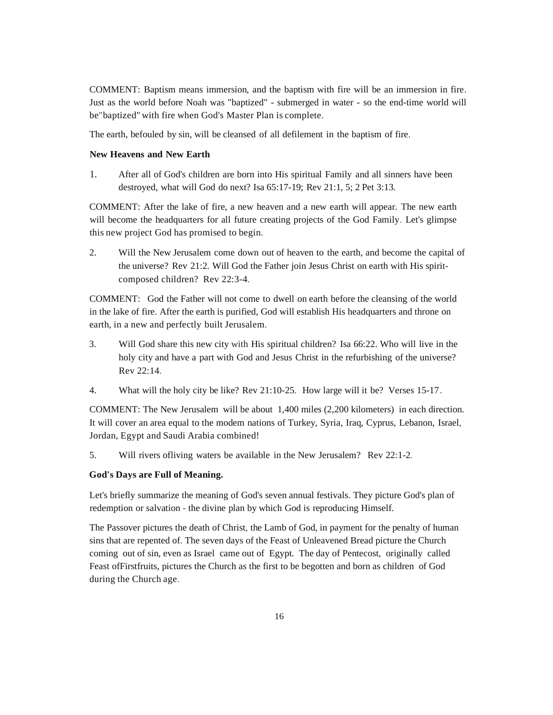COMMENT: Baptism means immersion, and the baptism with fire will be an immersion in fire. Just as the world before Noah was "baptized" - submerged in water - so the end-time world will be"baptized" with fire when God's Master Plan is complete.

The earth, befouled by sin, will be cleansed of all defilement in the baptism of fire.

## **New Heavens and New Earth**

1. After all of God's children are born into His spiritual Family and all sinners have been destroyed, what will God do next? Isa 65:17-19; Rev 21:1, 5; 2 Pet 3:13.

COMMENT: After the lake of fire, a new heaven and a new earth will appear. The new earth will become the headquarters for all future creating projects of the God Family. Let's glimpse this new project God has promised to begin.

2. Will the New Jerusalem come down out of heaven to the earth, and become the capital of the universe? Rev 21:2. Will God the Father join Jesus Christ on earth with His spiritcomposed children? Rev 22:3-4.

COMMENT: God the Father will not come to dwell on earth before the cleansing of the world in the lake of fire. After the earth is purified, God will establish His headquarters and throne on earth, in a new and perfectly built Jerusalem.

- 3. Will God share this new city with His spiritual children? Isa 66:22. Who will live in the holy city and have a part with God and Jesus Christ in the refurbishing of the universe? Rev 22:14.
- 4. What will the holy city be like? Rev 21:10-25. How large will it be? Verses 15-17.

COMMENT: The New Jerusalem will be about 1,400 miles (2,200 kilometers) in each direction. It will cover an area equal to the modem nations of Turkey, Syria, Iraq, Cyprus, Lebanon, Israel, Jordan, Egypt and Saudi Arabia combined!

5. Will rivers ofliving waters be available in the New Jerusalem? Rev 22:1-2.

## **God's Days are Full of Meaning.**

Let's briefly summarize the meaning of God's seven annual festivals. They picture God's plan of redemption or salvation - the divine plan by which God is reproducing Himself.

The Passover pictures the death of Christ, the Lamb of God, in payment for the penalty of human sins that are repented of. The seven days of the Feast of Unleavened Bread picture the Church coming out of sin, even as Israel came out of Egypt. The day of Pentecost, originally called Feast ofFirstfruits, pictures the Church as the first to be begotten and born as children of God during the Church age.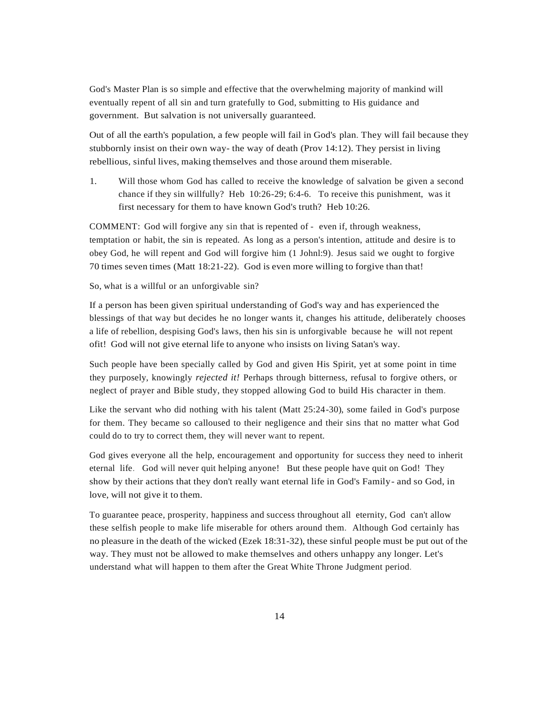God's Master Plan is so simple and effective that the overwhelming majority of mankind will eventually repent of all sin and turn gratefully to God, submitting to His guidance and government. But salvation is not universally guaranteed.

Out of all the earth's population, a few people will fail in God's plan. They will fail because they stubbornly insist on their own way- the way of death (Prov 14:12). They persist in living rebellious, sinful lives, making themselves and those around them miserable.

1. Will those whom God has called to receive the knowledge of salvation be given a second chance if they sin willfully? Heb 10:26-29; 6:4-6. To receive this punishment, was it first necessary for them to have known God's truth? Heb 10:26.

COMMENT: God will forgive any sin that is repented of - even if, through weakness, temptation or habit, the sin is repeated. As long as a person's intention, attitude and desire is to obey God, he will repent and God will forgive him (1 Johnl:9). Jesus said we ought to forgive 70 times seven times (Matt 18:21-22). God is even more willing to forgive than that!

So, what is a willful or an unforgivable sin?

If a person has been given spiritual understanding of God's way and has experienced the blessings of that way but decides he no longer wants it, changes his attitude, deliberately chooses a life of rebellion, despising God's laws, then his sin is unforgivable because he will not repent ofit! God will not give eternal life to anyone who insists on living Satan's way.

Such people have been specially called by God and given His Spirit, yet at some point in time they purposely, knowingly *rejected it!* Perhaps through bitterness, refusal to forgive others, or neglect of prayer and Bible study, they stopped allowing God to build His character in them.

Like the servant who did nothing with his talent (Matt 25:24-30), some failed in God's purpose for them. They became so calloused to their negligence and their sins that no matter what God could do to try to correct them, they will never want to repent.

God gives everyone all the help, encouragement and opportunity for success they need to inherit eternal life. God will never quit helping anyone! But these people have quit on God! They show by their actions that they don't really want eternal life in God's Family- and so God, in love, will not give it to them.

To guarantee peace, prosperity, happiness and success throughout all eternity, God can't allow these selfish people to make life miserable for others around them. Although God certainly has no pleasure in the death of the wicked (Ezek 18:31-32), these sinful people must be put out of the way. They must not be allowed to make themselves and others unhappy any longer. Let's understand what will happen to them after the Great White Throne Judgment period.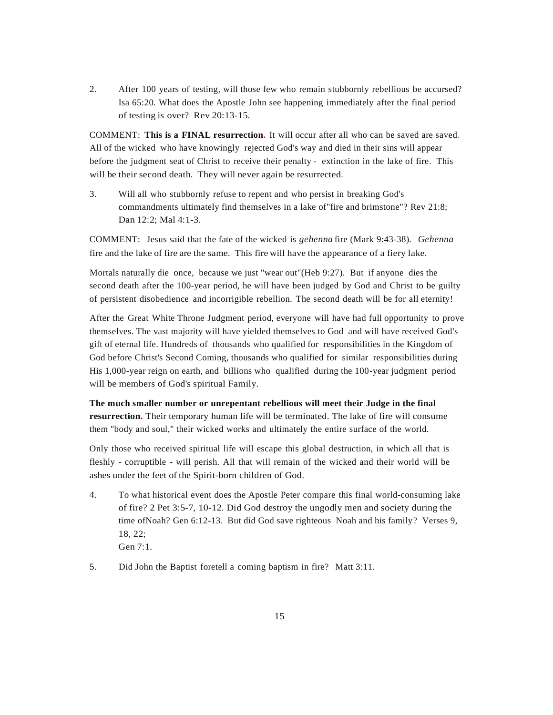2. After 100 years of testing, will those few who remain stubbornly rebellious be accursed? Isa 65:20. What does the Apostle John see happening immediately after the final period of testing is over? Rev 20:13-15.

COMMENT: **This is a FINAL resurrection.** It will occur after all who can be saved are saved. All of the wicked who have knowingly rejected God's way and died in their sins will appear before the judgment seat of Christ to receive their penalty - extinction in the lake of fire. This will be their second death. They will never again be resurrected.

3. Will all who stubbornly refuse to repent and who persist in breaking God's commandments ultimately find themselves in a lake of"fire and brimstone"? Rev 21:8; Dan 12:2; Mal 4:1-3.

COMMENT: Jesus said that the fate of the wicked is *gehenna* fire (Mark 9:43-38). *Gehenna* fire and the lake of fire are the same. This fire will have the appearance of a fiery lake.

Mortals naturally die once, because we just "wear out"(Heb 9:27). But if anyone dies the second death after the 100-year period, he will have been judged by God and Christ to be guilty of persistent disobedience and incorrigible rebellion. The second death will be for all eternity!

After the Great White Throne Judgment period, everyone will have had full opportunity to prove themselves. The vast majority will have yielded themselves to God and will have received God's gift of eternal life. Hundreds of thousands who qualified for responsibilities in the Kingdom of God before Christ's Second Coming, thousands who qualified for similar responsibilities during His 1,000-year reign on earth, and billions who qualified during the 100-year judgment period will be members of God's spiritual Family.

**The much smaller number or unrepentant rebellious will meet their Judge in the final resurrection.** Their temporary human life will be terminated. The lake of fire will consume them "body and soul," their wicked works and ultimately the entire surface of the world.

Only those who received spiritual life will escape this global destruction, in which all that is fleshly - corruptible - will perish. All that will remain of the wicked and their world will be ashes under the feet of the Spirit-born children of God.

- 4. To what historical event does the Apostle Peter compare this final world-consuming lake of fire? 2 Pet 3:5-7, 10-12. Did God destroy the ungodly men and society during the time ofNoah? Gen 6:12-13. But did God save righteous Noah and his family? Verses 9, 18, 22; Gen 7:1.
- 5. Did John the Baptist foretell a coming baptism in fire? Matt 3:11.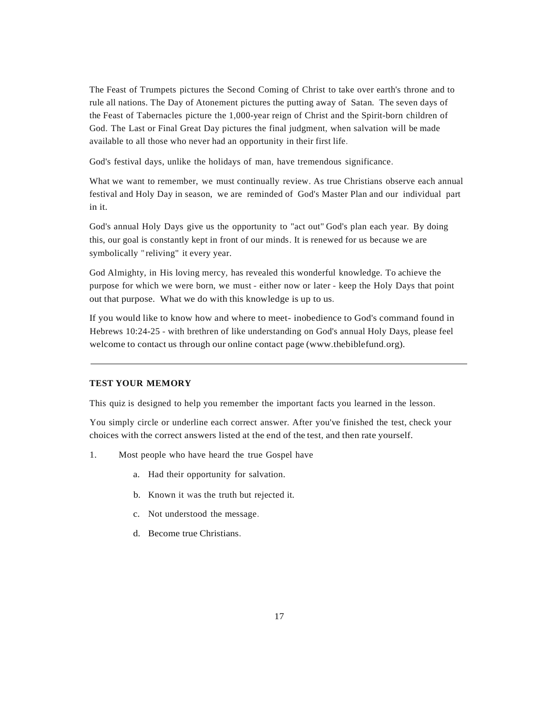The Feast of Trumpets pictures the Second Coming of Christ to take over earth's throne and to rule all nations. The Day of Atonement pictures the putting away of Satan. The seven days of the Feast of Tabernacles picture the 1,000-year reign of Christ and the Spirit-born children of God. The Last or Final Great Day pictures the final judgment, when salvation will be made available to all those who never had an opportunity in their first life.

God's festival days, unlike the holidays of man, have tremendous significance.

What we want to remember, we must continually review. As true Christians observe each annual festival and Holy Day in season, we are reminded of God's Master Plan and our individual part in it.

God's annual Holy Days give us the opportunity to "act out" God's plan each year. By doing this, our goal is constantly kept in front of our minds. It is renewed for us because we are symbolically " reliving" it every year.

God Almighty, in His loving mercy, has revealed this wonderful knowledge. To achieve the purpose for which we were born, we must - either now or later - keep the Holy Days that point out that purpose. What we do with this knowledge is up to us.

If you would like to know how and where to meet- inobedience to God's command found in Hebrews 10:24-25 - with brethren of like understanding on God's annual Holy Days, please feel welcome to contact us through our online contact page (www.thebiblefund.org).

### **TEST YOUR MEMORY**

This quiz is designed to help you remember the important facts you learned in the lesson.

You simply circle or underline each correct answer. After you've finished the test, check your choices with the correct answers listed at the end of the test, and then rate yourself.

- 1. Most people who have heard the true Gospel have
	- a. Had their opportunity for salvation.
	- b. Known it was the truth but rejected it.
	- c. Not understood the message.
	- d. Become true Christians.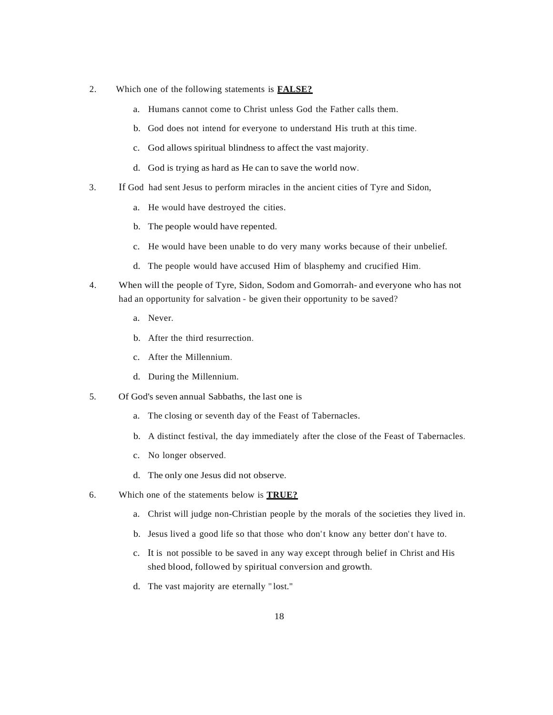- 2. Which one of the following statements is **FALSE?**
	- a. Humans cannot come to Christ unless God the Father calls them.
	- b. God does not intend for everyone to understand His truth at this time.
	- c. God allows spiritual blindness to affect the vast majority.
	- d. God is trying as hard as He can to save the world now.
- 3. If God had sent Jesus to perform miracles in the ancient cities of Tyre and Sidon,
	- a. He would have destroyed the cities.
	- b. The people would have repented.
	- c. He would have been unable to do very many works because of their unbelief.
	- d. The people would have accused Him of blasphemy and crucified Him.
- 4. When will the people of Tyre, Sidon, Sodom and Gomorrah- and everyone who has not had an opportunity for salvation - be given their opportunity to be saved?
	- a. Never.
	- b. After the third resurrection.
	- c. After the Millennium.
	- d. During the Millennium.
- 5. Of God's seven annual Sabbaths, the last one is
	- a. The closing or seventh day of the Feast of Tabernacles.
	- b. A distinct festival, the day immediately after the close of the Feast of Tabernacles.
	- c. No longer observed.
	- d. The only one Jesus did not observe.
- 6. Which one of the statements below is **TRUE?**
	- a. Christ will judge non-Christian people by the morals of the societies they lived in.
	- b. Jesus lived a good life so that those who don't know any better don't have to.
	- c. It is not possible to be saved in any way except through belief in Christ and His shed blood, followed by spiritual conversion and growth.
	- d. The vast majority are eternally " lost."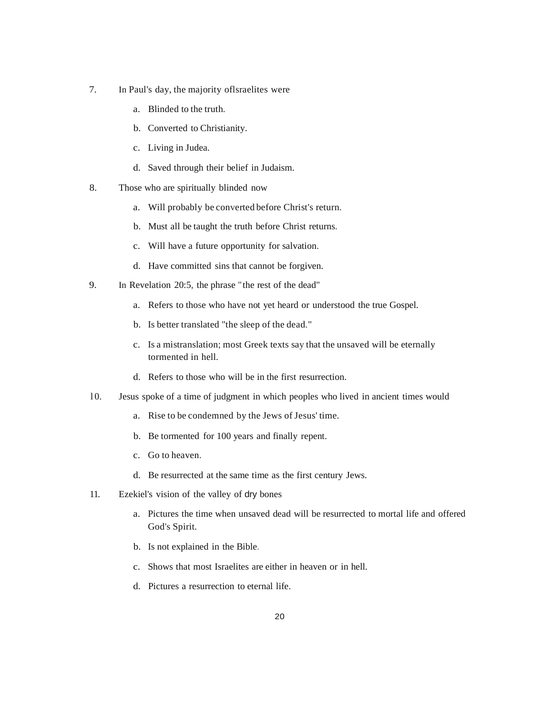- 7. In Paul's day, the majority oflsraelites were
	- a. Blinded to the truth.
	- b. Converted to Christianity.
	- c. Living in Judea.
	- d. Saved through their belief in Judaism.
- 8. Those who are spiritually blinded now
	- a. Will probably be converted before Christ's return.
	- b. Must all be taught the truth before Christ returns.
	- c. Will have a future opportunity for salvation.
	- d. Have committed sins that cannot be forgiven.
- 9. In Revelation 20:5, the phrase "the rest of the dead"
	- a. Refers to those who have not yet heard or understood the true Gospel.
	- b. Is better translated "the sleep of the dead."
	- c. Is a mistranslation; most Greek texts say that the unsaved will be eternally tormented in hell.
	- d. Refers to those who will be in the first resurrection.
- l 0. Jesus spoke of a time of judgment in which peoples who lived in ancient times would
	- a. Rise to be condemned by the Jews of Jesus' time.
	- b. Be tormented for 100 years and finally repent.
	- c. Go to heaven.
	- d. Be resurrected at the same time as the first century Jews.
- 11. Ezekiel's vision of the valley of dry bones
	- a. Pictures the time when unsaved dead will be resurrected to mortal life and offered God's Spirit.
	- b. Is not explained in the Bible.
	- c. Shows that most Israelites are either in heaven or in hell.
	- d. Pictures a resurrection to eternal life.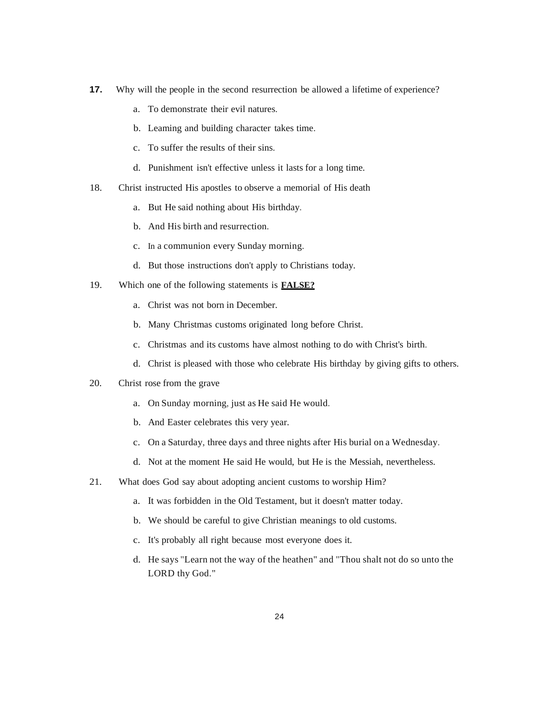- **17.** Why will the people in the second resurrection be allowed a lifetime of experience?
	- a. To demonstrate their evil natures.
	- b. Leaming and building character takes time.
	- c. To suffer the results of their sins.
	- d. Punishment isn't effective unless it lasts for a long time.
- 18. Christ instructed His apostles to observe a memorial of His death
	- a. But He said nothing about His birthday.
	- b. And His birth and resurrection.
	- c. In a communion every Sunday morning.
	- d. But those instructions don't apply to Christians today.
- 19. Which one of the following statements is **FALSE?**
	- a. Christ was not born in December.
	- b. Many Christmas customs originated long before Christ.
	- c. Christmas and its customs have almost nothing to do with Christ's birth.
	- d. Christ is pleased with those who celebrate His birthday by giving gifts to others.
- 20. Christ rose from the grave
	- a. On Sunday morning, just as He said He would.
	- b. And Easter celebrates this very year.
	- c. On a Saturday, three days and three nights after His burial on a Wednesday.
	- d. Not at the moment He said He would, but He is the Messiah, nevertheless.
- 21. What does God say about adopting ancient customs to worship Him?
	- a. It was forbidden in the Old Testament, but it doesn't matter today.
	- b. We should be careful to give Christian meanings to old customs.
	- c. It's probably all right because most everyone does it.
	- d. He says "Learn not the way of the heathen" and "Thou shalt not do so unto the LORD thy God."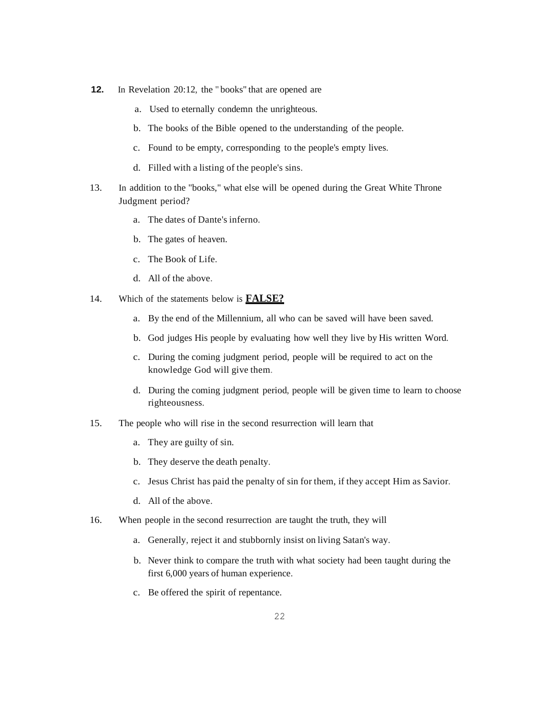- **12.** In Revelation 20:12, the " books" that are opened are
	- a. Used to eternally condemn the unrighteous.
	- b. The books of the Bible opened to the understanding of the people.
	- c. Found to be empty, corresponding to the people's empty lives.
	- d. Filled with a listing of the people's sins.
- 13. In addition to the "books," what else will be opened during the Great White Throne Judgment period?
	- a. The dates of Dante's inferno.
	- b. The gates of heaven.
	- c. The Book of Life.
	- d. All of the above.
- 14. Which of the statements below is **FALSE?**
	- a. By the end of the Millennium, all who can be saved will have been saved.
	- b. God judges His people by evaluating how well they live by His written Word.
	- c. During the coming judgment period, people will be required to act on the knowledge God will give them.
	- d. During the coming judgment period, people will be given time to learn to choose righteousness.
- 15. The people who will rise in the second resurrection will learn that
	- a. They are guilty of sin.
	- b. They deserve the death penalty.
	- c. Jesus Christ has paid the penalty of sin for them, if they accept Him as Savior.
	- d. All of the above.
- 16. When people in the second resurrection are taught the truth, they will
	- a. Generally, reject it and stubbornly insist on living Satan's way.
	- b. Never think to compare the truth with what society had been taught during the first 6,000 years of human experience.
	- c. Be offered the spirit of repentance.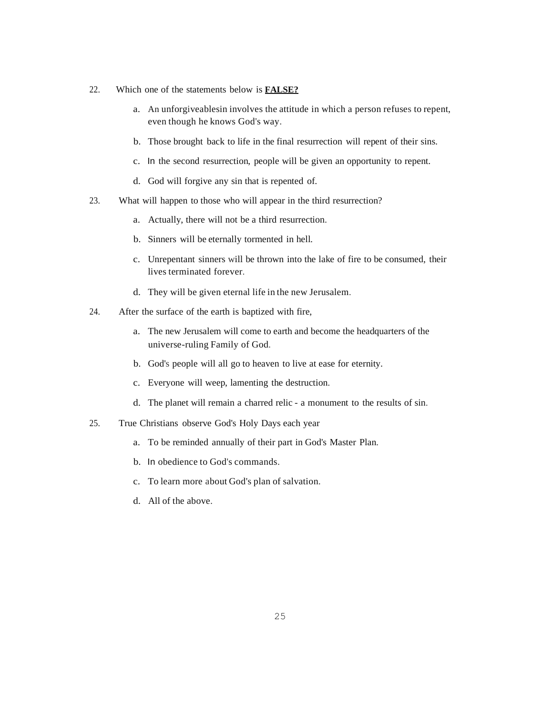- 22. Which one of the statements below is **FALSE?**
	- a. An unforgiveablesin involves the attitude in which a person refuses to repent, even though he knows God's way.
	- b. Those brought back to life in the final resurrection will repent of their sins.
	- c. In the second resurrection, people will be given an opportunity to repent.
	- d. God will forgive any sin that is repented of.
- 23. What will happen to those who will appear in the third resurrection?
	- a. Actually, there will not be a third resurrection.
	- b. Sinners will be eternally tormented in hell.
	- c. Unrepentant sinners will be thrown into the lake of fire to be consumed, their lives terminated forever.
	- d. They will be given eternal life in the new Jerusalem.
- 24. After the surface of the earth is baptized with fire,
	- a. The new Jerusalem will come to earth and become the headquarters of the universe-ruling Family of God.
	- b. God's people will all go to heaven to live at ease for eternity.
	- c. Everyone will weep, lamenting the destruction.
	- d. The planet will remain a charred relic a monument to the results of sin.
- 25. True Christians observe God's Holy Days each year
	- a. To be reminded annually of their part in God's Master Plan.
	- b. In obedience to God's commands.
	- c. To learn more about God's plan of salvation.
	- d. All of the above.